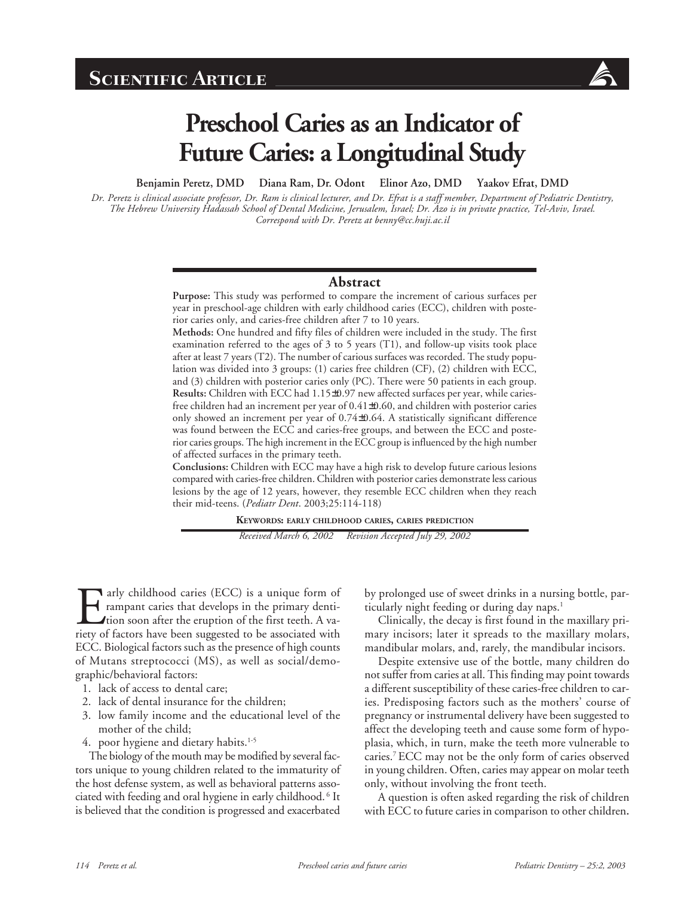

# **Preschool Caries as an Indicator of Future Caries: a Longitudinal Study**

**Benjamin Peretz, DMD Diana Ram, Dr. Odont Elinor Azo, DMD Yaakov Efrat, DMD**

*Dr. Peretz is clinical associate professor, Dr. Ram is clinical lecturer, and Dr. Efrat is a staff member, Department of Pediatric Dentistry, The Hebrew University Hadassah School of Dental Medicine, Jerusalem, Israel; Dr. Azo is in private practice, Tel-Aviv, Israel. Correspond with Dr. Peretz at benny@cc.huji.ac.il*

#### **Abstract**

**Purpose:** This study was performed to compare the increment of carious surfaces per year in preschool-age children with early childhood caries (ECC), children with posterior caries only, and caries-free children after 7 to 10 years.

**Methods:** One hundred and fifty files of children were included in the study. The first examination referred to the ages of 3 to 5 years (T1), and follow-up visits took place after at least 7 years (T2). The number of carious surfaces was recorded. The study population was divided into 3 groups: (1) caries free children (CF), (2) children with ECC, and (3) children with posterior caries only (PC). There were 50 patients in each group. **Results:** Children with ECC had 1.15±0.97 new affected surfaces per year, while cariesfree children had an increment per year of 0.41±0.60, and children with posterior caries only showed an increment per year of 0.74±0.64. A statistically significant difference was found between the ECC and caries-free groups, and between the ECC and posterior caries groups. The high increment in the ECC group is influenced by the high number of affected surfaces in the primary teeth.

**Conclusions:** Children with ECC may have a high risk to develop future carious lesions compared with caries-free children. Children with posterior caries demonstrate less carious lesions by the age of 12 years, however, they resemble ECC children when they reach their mid-teens. (*Pediatr Dent*. 2003;25:114-118)

**KEYWORDS: EARLY CHILDHOOD CARIES, CARIES PREDICTION**

*Received March 6, 2002 Revision Accepted July 29, 2002*

Farly childhood caries (ECC) is a unique form of<br>rampant caries that develops in the primary denti-<br>tion soon after the eruption of the first teeth. A va-<br>riety of factors have been suggested to be associated with rampant caries that develops in the primary dentition soon after the eruption of the first teeth. A variety of factors have been suggested to be associated with ECC. Biological factors such as the presence of high counts of Mutans streptococci (MS), as well as social/demographic/behavioral factors:

- 1. lack of access to dental care;
- 2. lack of dental insurance for the children;
- 3. low family income and the educational level of the mother of the child;
- 4. poor hygiene and dietary habits.<sup>1-5</sup>

The biology of the mouth may be modified by several factors unique to young children related to the immaturity of the host defense system, as well as behavioral patterns associated with feeding and oral hygiene in early childhood. 6 It is believed that the condition is progressed and exacerbated

by prolonged use of sweet drinks in a nursing bottle, particularly night feeding or during day naps.<sup>1</sup>

Clinically, the decay is first found in the maxillary primary incisors; later it spreads to the maxillary molars, mandibular molars, and, rarely, the mandibular incisors.

Despite extensive use of the bottle, many children do not suffer from caries at all. This finding may point towards a different susceptibility of these caries-free children to caries. Predisposing factors such as the mothers' course of pregnancy or instrumental delivery have been suggested to affect the developing teeth and cause some form of hypoplasia, which, in turn, make the teeth more vulnerable to caries.7 ECC may not be the only form of caries observed in young children. Often, caries may appear on molar teeth only, without involving the front teeth.

A question is often asked regarding the risk of children with ECC to future caries in comparison to other children**.**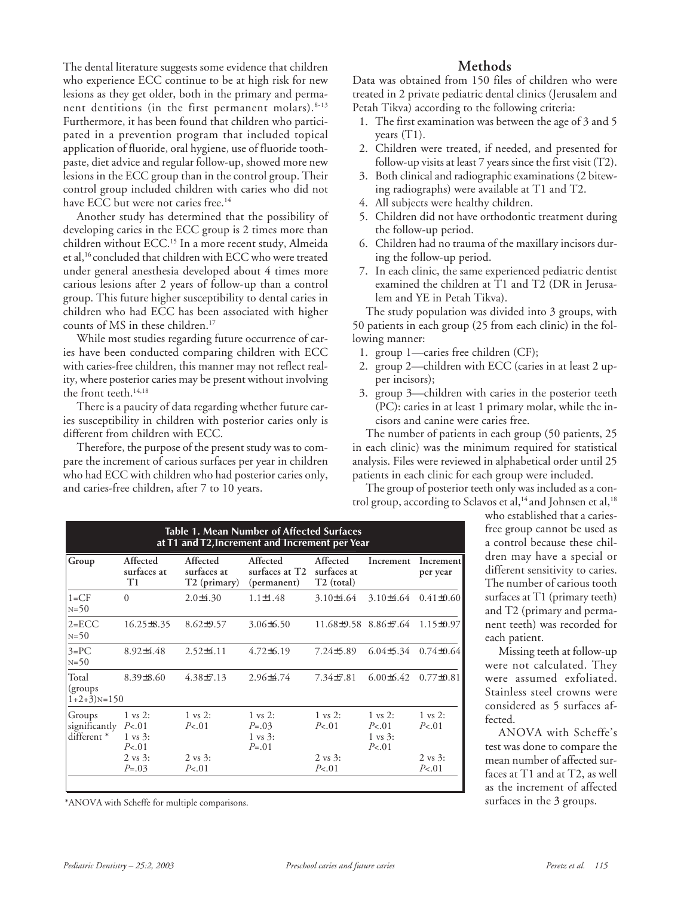The dental literature suggests some evidence that children who experience ECC continue to be at high risk for new lesions as they get older, both in the primary and permanent dentitions (in the first permanent molars). $8-13$ Furthermore, it has been found that children who participated in a prevention program that included topical application of fluoride, oral hygiene, use of fluoride toothpaste, diet advice and regular follow-up, showed more new lesions in the ECC group than in the control group. Their control group included children with caries who did not have ECC but were not caries free.<sup>14</sup>

Another study has determined that the possibility of developing caries in the ECC group is 2 times more than children without ECC.15 In a more recent study, Almeida et al,16 concluded that children with ECC who were treated under general anesthesia developed about 4 times more carious lesions after 2 years of follow-up than a control group. This future higher susceptibility to dental caries in children who had ECC has been associated with higher counts of MS in these children.<sup>17</sup>

While most studies regarding future occurrence of caries have been conducted comparing children with ECC with caries-free children, this manner may not reflect reality, where posterior caries may be present without involving the front teeth.<sup>14,18</sup>

There is a paucity of data regarding whether future caries susceptibility in children with posterior caries only is different from children with ECC.

Therefore, the purpose of the present study was to compare the increment of carious surfaces per year in children who had ECC with children who had posterior caries only, and caries-free children, after 7 to 10 years.

### **Methods**

Data was obtained from 150 files of children who were treated in 2 private pediatric dental clinics (Jerusalem and Petah Tikva) according to the following criteria:

- 1. The first examination was between the age of 3 and 5 years  $(T1)$ .
- 2. Children were treated, if needed, and presented for follow-up visits at least 7 years since the first visit (T2).
- 3. Both clinical and radiographic examinations (2 bitewing radiographs) were available at T1 and T2.
- 4. All subjects were healthy children.
- 5. Children did not have orthodontic treatment during the follow-up period.
- 6. Children had no trauma of the maxillary incisors during the follow-up period.
- 7. In each clinic, the same experienced pediatric dentist examined the children at T1 and T2 (DR in Jerusalem and YE in Petah Tikva).

The study population was divided into 3 groups, with 50 patients in each group (25 from each clinic) in the following manner:

- 1. group 1—caries free children (CF);
- 2. group 2—children with ECC (caries in at least 2 upper incisors);
- 3. group 3—children with caries in the posterior teeth (PC): caries in at least 1 primary molar, while the incisors and canine were caries free.

The number of patients in each group (50 patients, 25 in each clinic) was the minimum required for statistical analysis. Files were reviewed in alphabetical order until 25 patients in each clinic for each group were included.

The group of posterior teeth only was included as a control group, according to Sclavos et al,<sup>14</sup> and Johnsen et al,<sup>18</sup>

| Table 1. Mean Number of Affected Surfaces<br>at T1 and T2, Increment and Increment per Year |                                                            |                                                     |                                                                    |                                                   |                                                             |                             |  |
|---------------------------------------------------------------------------------------------|------------------------------------------------------------|-----------------------------------------------------|--------------------------------------------------------------------|---------------------------------------------------|-------------------------------------------------------------|-----------------------------|--|
| Group                                                                                       | Affected<br>surfaces at<br>T <sub>1</sub>                  | Affected<br>surfaces at<br>T <sub>2</sub> (primary) | Affected<br>surfaces at T2<br>(permanent)                          | Affected<br>surfaces at<br>T <sub>2</sub> (total) | Increment                                                   | Increment<br>per year       |  |
| $1 = CF$<br>$N = 50$                                                                        | $\Omega$                                                   | $2.0\pm 4.30$                                       | $1.1 \pm 1.48$                                                     | $3.10\pm4.64$                                     | $3.10\pm4.64$                                               | $0.41\pm0.60$               |  |
| $2 = ECC$<br>$N = 50$                                                                       | $16.25 \pm 8.35$                                           | $8.62\pm9.57$                                       | $3.06\pm 6.50$                                                     | 11.68±9.58                                        | $8.86 \pm 7.64$                                             | $1.15\pm0.97$               |  |
| $3 = PC$<br>$N = 50$                                                                        | $8.92\pm4.48$                                              | $2.52\pm4.11$                                       | $4.72\pm 6.19$                                                     | 7.24±5.89                                         | $6.04\pm5.34$                                               | $0.74\pm0.64$               |  |
| Total<br>(groups)<br>$1+2+3$ <sub>N=150</sub>                                               | $8.39\pm8.60$                                              | $4.38 \pm 7.13$                                     | $2.96\pm4.74$                                                      | $7.34\pm7.81$                                     | $6.00\pm 6.42$                                              | $0.77\pm0.81$               |  |
| Groups<br>significantly<br>different *                                                      | $1 \text{ vs } 2:$<br>P< 01<br>$1 \text{ vs } 3:$<br>P< 01 | $1 \text{ vs } 2:$<br>P <sub>01</sub>               | $1 \text{ vs } 2:$<br>$P = .03$<br>$1 \text{ vs } 3:$<br>$P = .01$ | $1 \text{ vs } 2$ :<br>P< 01                      | $1 \text{ vs } 2$ :<br>P< 01<br>$1 \text{ vs } 3:$<br>P< 01 | $1 \text{ vs } 2:$<br>P< 01 |  |
|                                                                                             | $2 \text{ vs } 3:$<br>$P = .03$                            | $2 \text{ vs } 3$ :<br>P <sub>01</sub>              |                                                                    | $2 \text{ vs } 3$ :<br>P< 01                      |                                                             | $2 \text{ vs } 3:$<br>P< 01 |  |

\*ANOVA with Scheffe for multiple comparisons. surfaces in the 3 groups.

who established that a cariesfree group cannot be used as a control because these children may have a special or different sensitivity to caries. The number of carious tooth surfaces at T1 (primary teeth) and T2 (primary and permanent teeth) was recorded for each patient.

Missing teeth at follow-up were not calculated. They were assumed exfoliated. Stainless steel crowns were considered as 5 surfaces affected.

ANOVA with Scheffe's test was done to compare the mean number of affected surfaces at T1 and at T2, as well as the increment of affected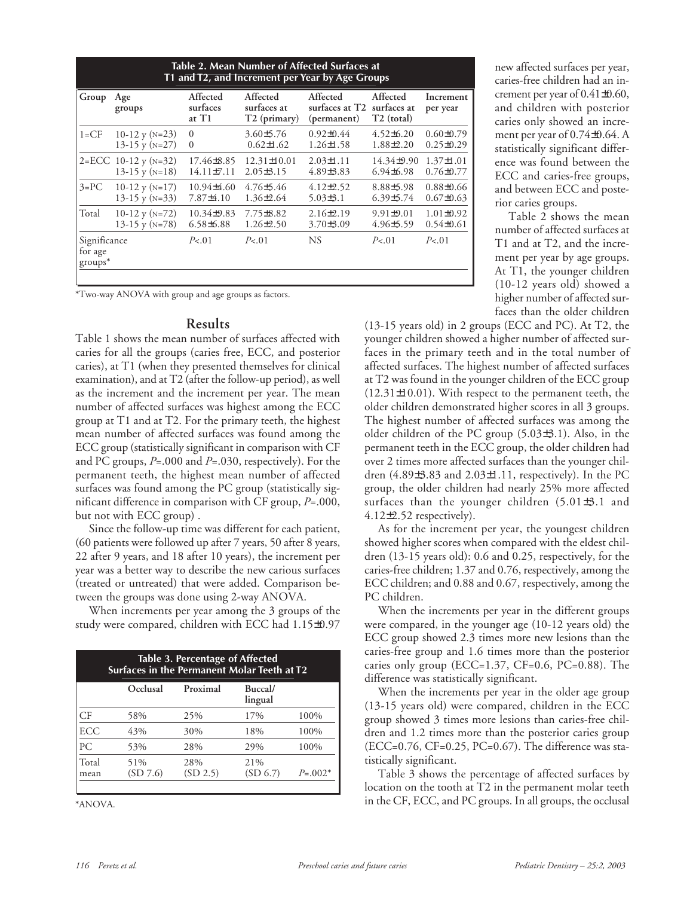| Table 2. Mean Number of Affected Surfaces at<br>T1 and T2, and Increment per Year by Age Groups |                          |                               |                                                     |                                           |                                                   |                       |  |
|-------------------------------------------------------------------------------------------------|--------------------------|-------------------------------|-----------------------------------------------------|-------------------------------------------|---------------------------------------------------|-----------------------|--|
| Group                                                                                           | Age<br>groups            | Affected<br>surfaces<br>at T1 | Affected<br>surfaces at<br>T <sub>2</sub> (primary) | Affected<br>surfaces at T2<br>(permanent) | Affected<br>surfaces at<br>T <sub>2</sub> (total) | Increment<br>per year |  |
| $1 = CF$                                                                                        | 10-12 y ( $N=23$ )       | $\Omega$                      | $3.60\pm5.76$                                       | $0.92 \pm 0.44$                           | $4.52\pm 6.20$                                    | $0.60 \pm 0.79$       |  |
|                                                                                                 | 13-15 y ( $N=27$ )       | $\Omega$                      | $0.62 \pm 1.62$                                     | $1.26 \pm 1.58$                           | $1.88\pm2.20$                                     | $0.25 \pm 0.29$       |  |
|                                                                                                 | $2 = ECC$ 10-12 y (N=32) | 17.46 ± 8.85                  | $12.31 \pm 10.01$                                   | $2.03 \pm 1.11$                           | $14.34\pm9.90$                                    | $1.37 \pm 1.01$       |  |
|                                                                                                 | 13-15 y ( $N=18$ )       | $14.11 \pm 7.11$              | $2.05\pm3.15$                                       | $4.89\pm3.83$                             | $6.94\pm 6.98$                                    | $0.76 \pm 0.77$       |  |
| $3 = PC$                                                                                        | 10-12 y ( $N=17$ )       | $10.94\pm4.60$                | $4.76\pm5.46$                                       | $4.12\pm2.52$                             | $8.88{\pm}5.98$                                   | $0.88 \pm 0.66$       |  |
|                                                                                                 | 13-15 y ( $N=33$ )       | $7.87\pm4.10$                 | $1.36 \pm 2.64$                                     | $5.03\pm3.1$                              | $6.39\pm5.74$                                     | $0.67\pm0.63$         |  |
| Total                                                                                           | 10-12 y ( $N=72$ )       | $10.34\pm9.83$                | $7.75 \pm 8.82$                                     | $2.16\pm2.19$                             | $9.91 \pm 9.01$                                   | $1.01\pm0.92$         |  |
|                                                                                                 | 13-15 y ( $N=78$ )       | $6.58\pm 6.88$                | $1.26 \pm 2.50$                                     | 3.70±3.09                                 | $4.96 \pm 5.59$                                   | $0.54 \pm 0.61$       |  |
| Significance<br>for age<br>$groups^*$                                                           |                          | P < 01                        | P< 01                                               | NS.                                       | P < 01                                            | P < 01                |  |

\*Two-way ANOVA with group and age groups as factors.

#### **Results**

Table 1 shows the mean number of surfaces affected with caries for all the groups (caries free, ECC, and posterior caries), at T1 (when they presented themselves for clinical examination), and at T2 (after the follow-up period), as well as the increment and the increment per year. The mean number of affected surfaces was highest among the ECC group at T1 and at T2. For the primary teeth, the highest mean number of affected surfaces was found among the ECC group (statistically significant in comparison with CF and PC groups, *P*=.000 and *P*=.030, respectively). For the permanent teeth, the highest mean number of affected surfaces was found among the PC group (statistically significant difference in comparison with CF group, *P*=.000, but not with ECC group) .

Since the follow-up time was different for each patient, (60 patients were followed up after 7 years, 50 after 8 years, 22 after 9 years, and 18 after 10 years), the increment per year was a better way to describe the new carious surfaces (treated or untreated) that were added. Comparison between the groups was done using 2-way ANOVA.

When increments per year among the 3 groups of the study were compared, children with ECC had 1.15±0.97

| <b>Table 3. Percentage of Affected</b><br>Surfaces in the Permanent Molar Teeth at T2 |                 |                 |                    |           |  |  |
|---------------------------------------------------------------------------------------|-----------------|-----------------|--------------------|-----------|--|--|
|                                                                                       | Occlusal        | Proximal        | Buccal/<br>lingual |           |  |  |
| СF                                                                                    | 58%             | 25%             | 17%                | 100%      |  |  |
| <b>ECC</b>                                                                            | 43%             | 30%             | 18%                | 100%      |  |  |
| PC                                                                                    | 53%             | 28%             | 29%                | 100%      |  |  |
| Total<br>mean                                                                         | 51%<br>(SD 7.6) | 28%<br>(SD 2.5) | 21%<br>(SD 6.7)    | $P=.002*$ |  |  |

\*ANOVA.

new affected surfaces per year, caries-free children had an increment per year of 0.41±0.60, and children with posterior caries only showed an increment per year of 0.74±0.64. A statistically significant difference was found between the ECC and caries-free groups, and between ECC and posterior caries groups.

Table 2 shows the mean number of affected surfaces at T1 and at T2, and the increment per year by age groups. At T1, the younger children (10-12 years old) showed a higher number of affected surfaces than the older children

(13-15 years old) in 2 groups (ECC and PC). At T2, the younger children showed a higher number of affected surfaces in the primary teeth and in the total number of affected surfaces. The highest number of affected surfaces at T2 was found in the younger children of the ECC group (12.31±10.01). With respect to the permanent teeth, the older children demonstrated higher scores in all 3 groups. The highest number of affected surfaces was among the older children of the PC group (5.03±3.1). Also, in the permanent teeth in the ECC group, the older children had over 2 times more affected surfaces than the younger children  $(4.89\pm3.83$  and  $2.03\pm1.11$ , respectively). In the PC group, the older children had nearly 25% more affected surfaces than the younger children (5.01±3.1 and 4.12±2.52 respectively).

As for the increment per year, the youngest children showed higher scores when compared with the eldest children (13-15 years old): 0.6 and 0.25, respectively, for the caries-free children; 1.37 and 0.76, respectively, among the ECC children; and 0.88 and 0.67, respectively, among the PC children.

When the increments per year in the different groups were compared, in the younger age (10-12 years old) the ECC group showed 2.3 times more new lesions than the caries-free group and 1.6 times more than the posterior caries only group (ECC=1.37, CF=0.6, PC=0.88). The difference was statistically significant.

When the increments per year in the older age group (13-15 years old) were compared, children in the ECC group showed 3 times more lesions than caries-free children and 1.2 times more than the posterior caries group (ECC=0.76, CF=0.25, PC=0.67). The difference was statistically significant.

Table 3 shows the percentage of affected surfaces by location on the tooth at T2 in the permanent molar teeth in the CF, ECC, and PC groups. In all groups, the occlusal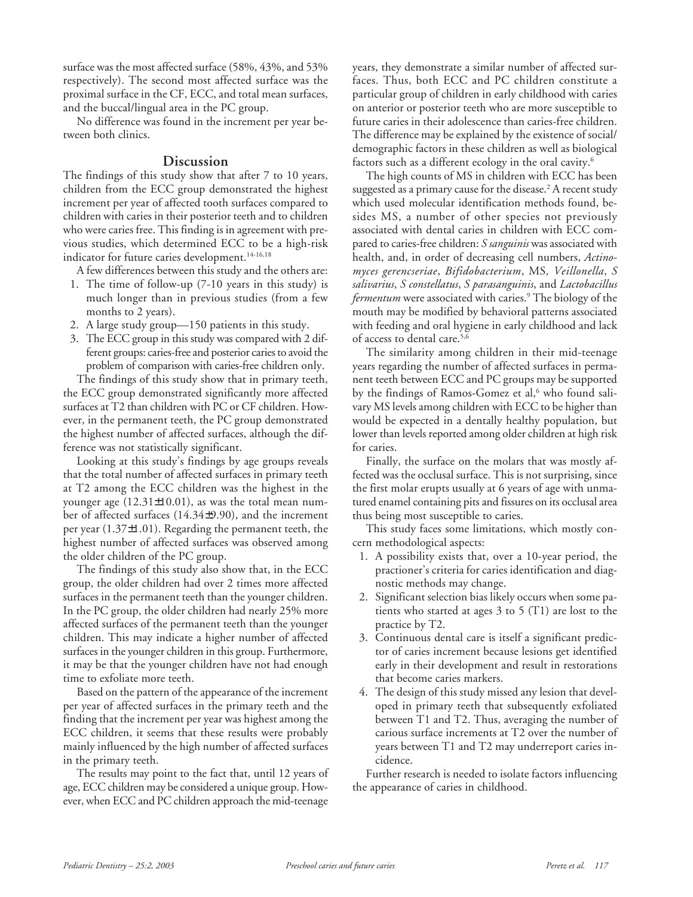surface was the most affected surface (58%, 43%, and 53% respectively). The second most affected surface was the proximal surface in the CF, ECC, and total mean surfaces, and the buccal/lingual area in the PC group.

No difference was found in the increment per year between both clinics.

#### **Discussion**

The findings of this study show that after 7 to 10 years, children from the ECC group demonstrated the highest increment per year of affected tooth surfaces compared to children with caries in their posterior teeth and to children who were caries free. This finding is in agreement with previous studies, which determined ECC to be a high-risk indicator for future caries development.<sup>14-16,18</sup>

A few differences between this study and the others are:

- 1. The time of follow-up (7-10 years in this study) is much longer than in previous studies (from a few months to 2 years).
- 2. A large study group—150 patients in this study.
- 3. The ECC group in this study was compared with 2 different groups: caries-free and posterior caries to avoid the problem of comparison with caries-free children only.

The findings of this study show that in primary teeth, the ECC group demonstrated significantly more affected surfaces at T2 than children with PC or CF children. However, in the permanent teeth, the PC group demonstrated the highest number of affected surfaces, although the difference was not statistically significant.

Looking at this study's findings by age groups reveals that the total number of affected surfaces in primary teeth at T2 among the ECC children was the highest in the younger age (12.31±10.01), as was the total mean number of affected surfaces (14.34±9.90), and the increment per year (1.37±1.01). Regarding the permanent teeth, the highest number of affected surfaces was observed among the older children of the PC group.

The findings of this study also show that, in the ECC group, the older children had over 2 times more affected surfaces in the permanent teeth than the younger children. In the PC group, the older children had nearly 25% more affected surfaces of the permanent teeth than the younger children. This may indicate a higher number of affected surfaces in the younger children in this group. Furthermore, it may be that the younger children have not had enough time to exfoliate more teeth.

Based on the pattern of the appearance of the increment per year of affected surfaces in the primary teeth and the finding that the increment per year was highest among the ECC children, it seems that these results were probably mainly influenced by the high number of affected surfaces in the primary teeth.

The results may point to the fact that, until 12 years of age, ECC children may be considered a unique group. However, when ECC and PC children approach the mid-teenage

years, they demonstrate a similar number of affected surfaces. Thus, both ECC and PC children constitute a particular group of children in early childhood with caries on anterior or posterior teeth who are more susceptible to future caries in their adolescence than caries-free children. The difference may be explained by the existence of social/ demographic factors in these children as well as biological factors such as a different ecology in the oral cavity.6

The high counts of MS in children with ECC has been suggested as a primary cause for the disease.2 A recent study which used molecular identification methods found, besides MS, a number of other species not previously associated with dental caries in children with ECC compared to caries-free children: *S sanguinis* was associated with health, and, in order of decreasing cell numbers, *Actinomyces gerencseriae*, *Bifidobacterium*, MS*, Veillonella*, *S salivarius*, *S constellatus*, *S parasanguinis*, and *Lactobacillus fermentum* were associated with caries.9 The biology of the mouth may be modified by behavioral patterns associated with feeding and oral hygiene in early childhood and lack of access to dental care.5,6

The similarity among children in their mid-teenage years regarding the number of affected surfaces in permanent teeth between ECC and PC groups may be supported by the findings of Ramos-Gomez et al,<sup>6</sup> who found salivary MS levels among children with ECC to be higher than would be expected in a dentally healthy population, but lower than levels reported among older children at high risk for caries.

Finally, the surface on the molars that was mostly affected was the occlusal surface. This is not surprising, since the first molar erupts usually at 6 years of age with unmatured enamel containing pits and fissures on its occlusal area thus being most susceptible to caries.

This study faces some limitations, which mostly concern methodological aspects:

- 1. A possibility exists that, over a 10-year period, the practioner's criteria for caries identification and diagnostic methods may change.
- 2. Significant selection bias likely occurs when some patients who started at ages 3 to 5 (T1) are lost to the practice by T2.
- 3. Continuous dental care is itself a significant predictor of caries increment because lesions get identified early in their development and result in restorations that become caries markers.
- 4. The design of this study missed any lesion that developed in primary teeth that subsequently exfoliated between T1 and T2. Thus, averaging the number of carious surface increments at T2 over the number of years between T1 and T2 may underreport caries incidence.

Further research is needed to isolate factors influencing the appearance of caries in childhood.